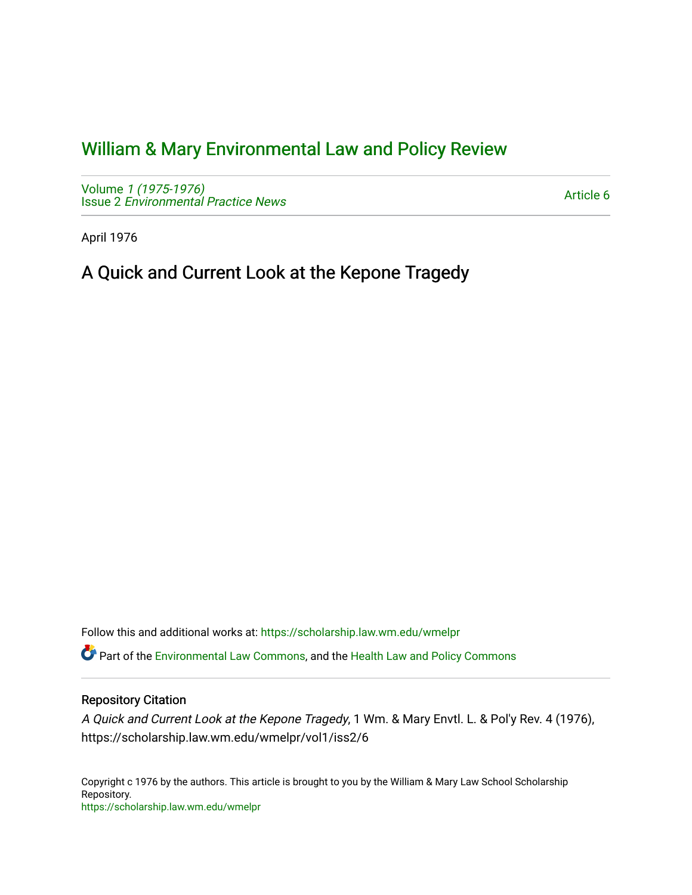## [William & Mary Environmental Law and Policy Review](https://scholarship.law.wm.edu/wmelpr)

Volume [1 \(1975-1976\)](https://scholarship.law.wm.edu/wmelpr/vol1)  Issue 2 [Environmental Practice News](https://scholarship.law.wm.edu/wmelpr/vol1/iss2) 

[Article 6](https://scholarship.law.wm.edu/wmelpr/vol1/iss2/6) 

April 1976

## A Quick and Current Look at the Kepone Tragedy

Follow this and additional works at: [https://scholarship.law.wm.edu/wmelpr](https://scholarship.law.wm.edu/wmelpr?utm_source=scholarship.law.wm.edu%2Fwmelpr%2Fvol1%2Fiss2%2F6&utm_medium=PDF&utm_campaign=PDFCoverPages)

Part of the [Environmental Law Commons](http://network.bepress.com/hgg/discipline/599?utm_source=scholarship.law.wm.edu%2Fwmelpr%2Fvol1%2Fiss2%2F6&utm_medium=PDF&utm_campaign=PDFCoverPages), and the [Health Law and Policy Commons](http://network.bepress.com/hgg/discipline/901?utm_source=scholarship.law.wm.edu%2Fwmelpr%2Fvol1%2Fiss2%2F6&utm_medium=PDF&utm_campaign=PDFCoverPages)

## Repository Citation

A Quick and Current Look at the Kepone Tragedy, 1 Wm. & Mary Envtl. L. & Pol'y Rev. 4 (1976), https://scholarship.law.wm.edu/wmelpr/vol1/iss2/6

Copyright c 1976 by the authors. This article is brought to you by the William & Mary Law School Scholarship Repository. <https://scholarship.law.wm.edu/wmelpr>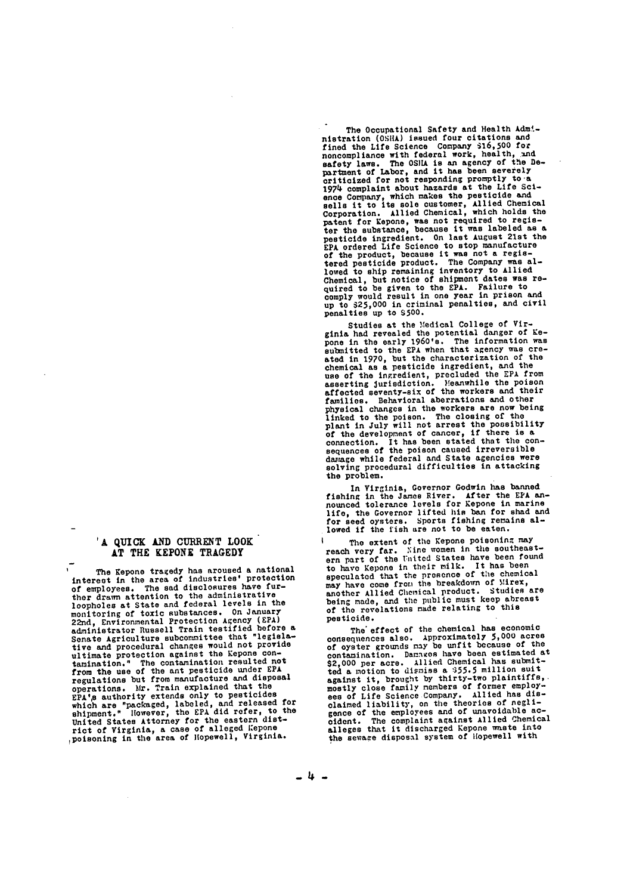**'A** QUICK **AND** CURRENT LOOK **AT** THE **KEPONE** TRAGEDY

The Kepone tragedy has aroused **a** national interest in the area **of** industries' protection of employees. The sad disclosures have further drawn attention to the administrative loopholes at State and federal levels in the monitoring of toxic substances. On January<br>22nd, Environmental Protection Agency (EPA)<br>administrator Russell Train testified before a<br>Senate Agriculture subcommittee that "legisla-<br>tive and procedural changes would not pro from the use of the ant pesticide under **EPA** regulations but from manufacture and disposal operations. Mr. Train explained that the<br>EPA's authority extends only to pesticides<br>which are "packaged, labeled, and released for<br>shipment." However, the EPA did refer, to the<br>United States Attorney for the eastern district of Virginia, a case of alleged Kepone ,poisoning in the area of Iopewell, Virginia.

The Occupational Safety and Health Adm' nistration (OSHA) issued four citations and<br>fined the Life Science Company 316,500 for<br>noncompliance with federal work, health, and<br>and extern in the OSHA is an agency of the De-<br>partment of Labor, and it has been severely 1974 complaint about hazards at the Life **Sci**ence Company, which makes the pesticide and sells it to its sole customer, Allied Chemical Corporation. **Allied** Chemical, which holds the component for kepone, was not required to register the substance, because it was labeled as a pesticide in the left of the product of the product of the product be defined that and the product because it was not a register lowed to ship remaining inventory to Allied Chemical, but notice of shipment dates was re-quired to be given to the **EPA.** Failure to comply would result in one year in prison and up to **\$25,000** in criminal penalties, and civil penalties up to **S500.**

Studies at the Medical College of Vir-<br>ginia had revealed the potential danger of Ke-<br>pone in the early 1960's. The information was<br>submitted to the EPA when that agency was cre-<br>ated in 1970, but the characterization of t use of the ingredient, precluded the **EPA** from asserting jurisdiction. }eanwhile the poison affected seventy-six of the workers and their incurse several abertations and other<br>families. Behavioral abertations and other<br>physical changes in the workers are now being<br>linked to the poison. The closing of the<br>plant in July will not arrest the possibility<br>of the d

In Virginia, Governor Godwin has banned<br>fishing in the James River. After the EFA an-<br>nounced tolerance levels for Eepone in marine<br>life, the Governor lifted his ban for shad and<br>for seed oysters. Sports fishing remains al

The extent of the Kepone poisoning may<br>rery far, Nine women in the southeastreach very far. Nine women in the southeast-<br>ern part of the United States have been found to have Kepone in their milk. It has been speculated that the presence of the chemical may have come from **the** breakdown of Mirex, may have come from the breadcount of another Allied Chemical product. Studies are<br>being made, and the public must keep abreast<br>of the revelations made relating to this pesticide.

The effect of the chemical has economic<br>consequences also. Approximately 5,000 acres<br>of oyster grounds may be unfit because of the<br>contamination. Damazes have been estimated at \$2,000 per acre. Allied Chemical has submit-ted a motion to dismiss a 355.5 million suit against it, brought by thirty-two plaintiffs, mostly close family members of former employ-ees of Life Science Company. Allied has disess of the streamed liability, on the theories of negli-<br>gence of the employees and of unavoidable ac-<br>cident. The complaint against Allied Chemical<br>alleges that it discharged Kepone waste into the semace disposal system of Hopewell with

 $-4 -$